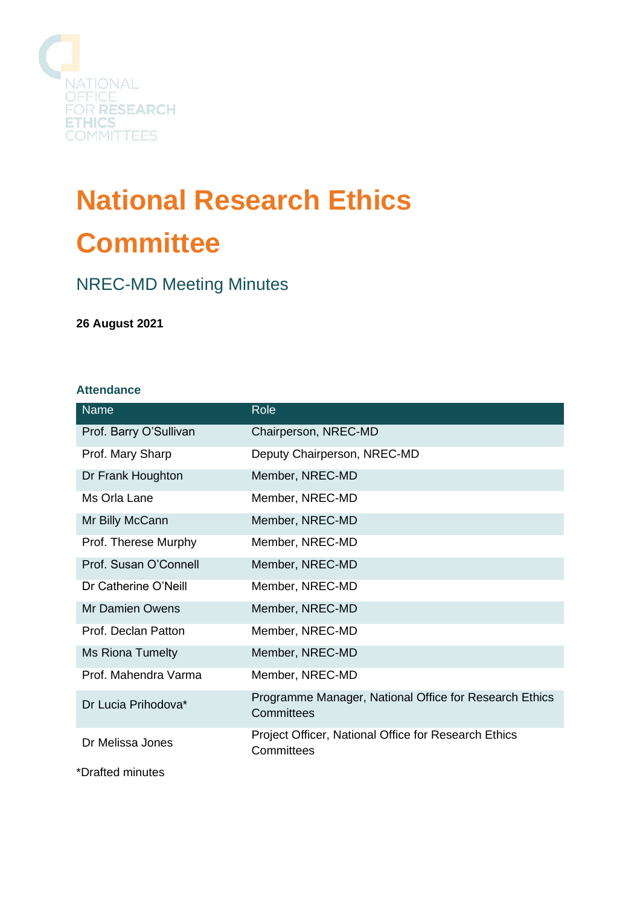

# **National Research Ethics Committee**

# NREC-MD Meeting Minutes

**26 August 2021**

### **Attendance**

| <b>Name</b>             | Role                                                                 |
|-------------------------|----------------------------------------------------------------------|
| Prof. Barry O'Sullivan  | Chairperson, NREC-MD                                                 |
| Prof. Mary Sharp        | Deputy Chairperson, NREC-MD                                          |
| Dr Frank Houghton       | Member, NREC-MD                                                      |
| Ms Orla Lane            | Member, NREC-MD                                                      |
| Mr Billy McCann         | Member, NREC-MD                                                      |
| Prof. Therese Murphy    | Member, NREC-MD                                                      |
| Prof. Susan O'Connell   | Member, NREC-MD                                                      |
| Dr Catherine O'Neill    | Member, NREC-MD                                                      |
| <b>Mr Damien Owens</b>  | Member, NREC-MD                                                      |
| Prof. Declan Patton     | Member, NREC-MD                                                      |
| <b>Ms Riona Tumelty</b> | Member, NREC-MD                                                      |
| Prof. Mahendra Varma    | Member, NREC-MD                                                      |
| Dr Lucia Prihodova*     | Programme Manager, National Office for Research Ethics<br>Committees |
| Dr Melissa Jones        | Project Officer, National Office for Research Ethics<br>Committees   |

\*Drafted minutes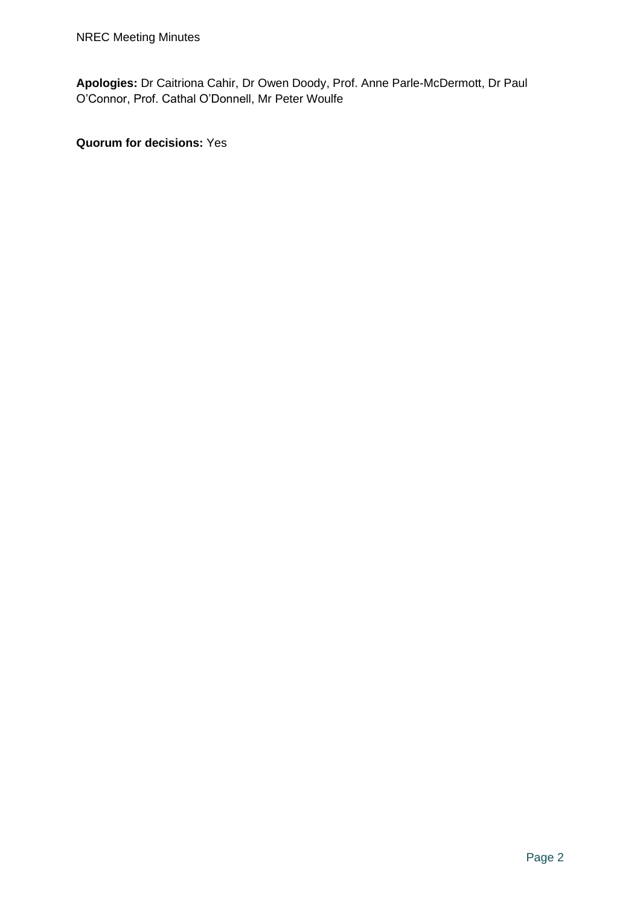**Apologies:** Dr Caitriona Cahir, Dr Owen Doody, Prof. Anne Parle-McDermott, Dr Paul O'Connor, Prof. Cathal O'Donnell, Mr Peter Woulfe

**Quorum for decisions:** Yes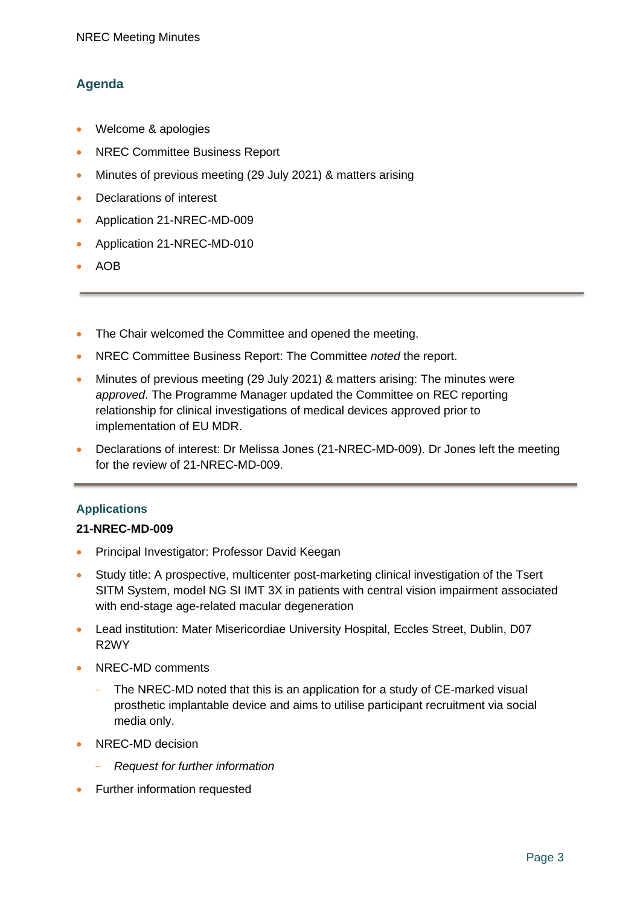# **Agenda**

- Welcome & apologies
- NREC Committee Business Report
- Minutes of previous meeting (29 July 2021) & matters arising
- Declarations of interest
- Application 21-NREC-MD-009
- Application 21-NREC-MD-010
- AOB
- The Chair welcomed the Committee and opened the meeting.
- NREC Committee Business Report: The Committee *noted* the report.
- Minutes of previous meeting (29 July 2021) & matters arising: The minutes were *approved*. The Programme Manager updated the Committee on REC reporting relationship for clinical investigations of medical devices approved prior to implementation of EU MDR.
- Declarations of interest: Dr Melissa Jones (21-NREC-MD-009). Dr Jones left the meeting for the review of 21-NREC-MD-009.

## **Applications**

### **21-NREC-MD-009**

- Principal Investigator: Professor David Keegan
- Study title: A prospective, multicenter post-marketing clinical investigation of the Tsert SITM System, model NG SI IMT 3X in patients with central vision impairment associated with end-stage age-related macular degeneration
- Lead institution: Mater Misericordiae University Hospital, Eccles Street, Dublin, D07 R2WY
- NREC-MD comments
	- The NREC-MD noted that this is an application for a study of CE-marked visual prosthetic implantable device and aims to utilise participant recruitment via social media only.
- NREC-MD decision
	- *Request for further information*
- Further information requested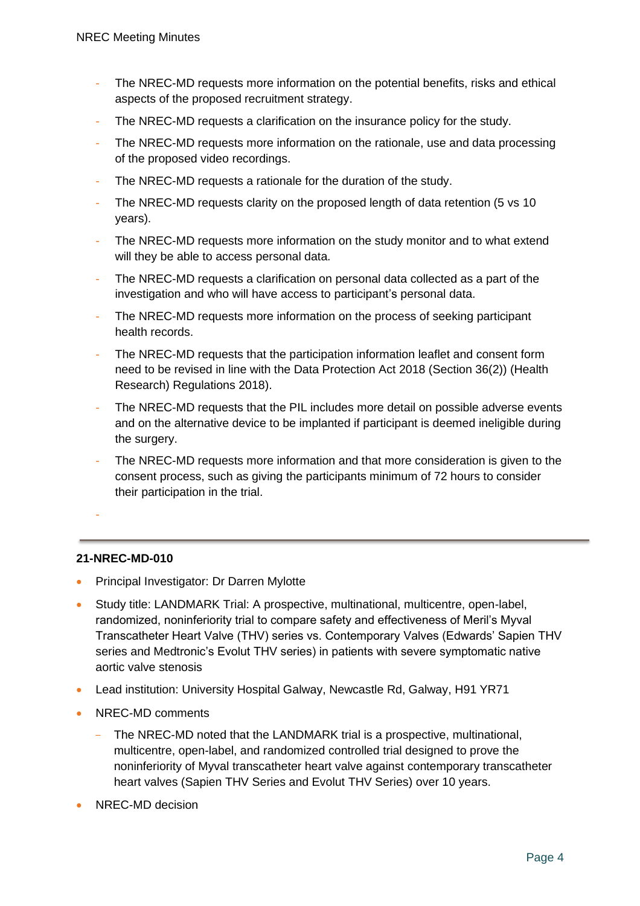- The NREC-MD requests more information on the potential benefits, risks and ethical aspects of the proposed recruitment strategy.
- The NREC-MD requests a clarification on the insurance policy for the study.
- The NREC-MD requests more information on the rationale, use and data processing of the proposed video recordings.
- The NREC-MD requests a rationale for the duration of the study.
- The NREC-MD requests clarity on the proposed length of data retention (5 vs 10 years).
- The NREC-MD requests more information on the study monitor and to what extend will they be able to access personal data.
- The NREC-MD requests a clarification on personal data collected as a part of the investigation and who will have access to participant's personal data.
- The NREC-MD requests more information on the process of seeking participant health records.
- The NREC-MD requests that the participation information leaflet and consent form need to be revised in line with the Data Protection Act 2018 (Section 36(2)) (Health Research) Regulations 2018).
- The NREC-MD requests that the PIL includes more detail on possible adverse events and on the alternative device to be implanted if participant is deemed ineligible during the surgery.
- The NREC-MD requests more information and that more consideration is given to the consent process, such as giving the participants minimum of 72 hours to consider their participation in the trial.
- -

### **21-NREC-MD-010**

- Principal Investigator: Dr Darren Mylotte
- Study title: LANDMARK Trial: A prospective, multinational, multicentre, open-label, randomized, noninferiority trial to compare safety and effectiveness of Meril's Myval Transcatheter Heart Valve (THV) series vs. Contemporary Valves (Edwards' Sapien THV series and Medtronic's Evolut THV series) in patients with severe symptomatic native aortic valve stenosis
- Lead institution: University Hospital Galway, Newcastle Rd, Galway, H91 YR71
- NREC-MD comments
	- The NREC-MD noted that the LANDMARK trial is a prospective, multinational, multicentre, open-label, and randomized controlled trial designed to prove the noninferiority of Myval transcatheter heart valve against contemporary transcatheter heart valves (Sapien THV Series and Evolut THV Series) over 10 years.
- NREC-MD decision